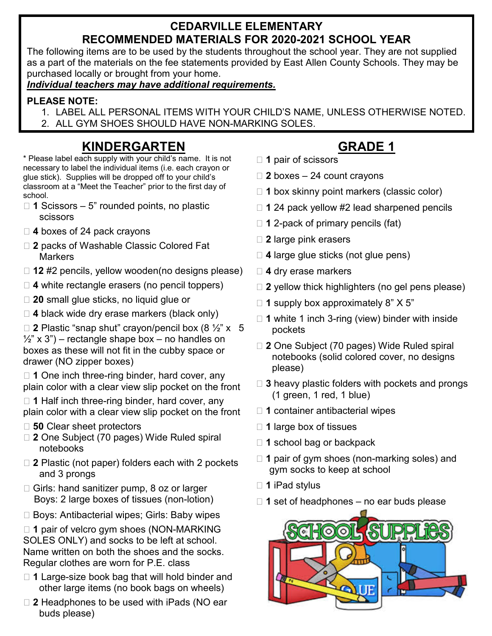#### **CEDARVILLE ELEMENTARY RECOMMENDED MATERIALS FOR 2020-2021 SCHOOL YEAR**

The following items are to be used by the students throughout the school year. They are not supplied as a part of the materials on the fee statements provided by East Allen County Schools. They may be purchased locally or brought from your home.

*Individual teachers may have additional requirements.*

#### **PLEASE NOTE:**

- 1. LABEL ALL PERSONAL ITEMS WITH YOUR CHILD'S NAME, UNLESS OTHERWISE NOTED.
- 2. ALL GYM SHOES SHOULD HAVE NON-MARKING SOLES.

## **KINDERGARTEN**

\* Please label each supply with your child's name. It is not necessary to label the individual items (i.e. each crayon or glue stick). Supplies will be dropped off to your child's classroom at a "Meet the Teacher" prior to the first day of school.

- □ 1 Scissors 5" rounded points, no plastic scissors
- **4** boxes of 24 pack crayons
- **2** packs of Washable Classic Colored Fat **Markers**
- □ 12 #2 pencils, yellow wooden(no designs please)
- **4** white rectangle erasers (no pencil toppers)
- **20** small glue sticks, no liquid glue or
- □ 4 black wide dry erase markers (black only)

 $\Box$  **2** Plastic "snap shut" crayon/pencil box (8  $\frac{1}{2}$ " x 5  $\frac{1}{2}$ " x 3") – rectangle shape box – no handles on boxes as these will not fit in the cubby space or drawer (NO zipper boxes)

□ 1 One inch three-ring binder, hard cover, any plain color with a clear view slip pocket on the front

□ 1 Half inch three-ring binder, hard cover, any plain color with a clear view slip pocket on the front

- **50** Clear sheet protectors
- **2** One Subject (70 pages) Wide Ruled spiral notebooks
- □ 2 Plastic (not paper) folders each with 2 pockets and 3 prongs
- □ Girls: hand sanitizer pump, 8 oz or larger Boys: 2 large boxes of tissues (non-lotion)
- □ Boys: Antibacterial wipes; Girls: Baby wipes

□ 1 pair of velcro gym shoes (NON-MARKING SOLES ONLY) and socks to be left at school. Name written on both the shoes and the socks. Regular clothes are worn for P.E. class

- **1** Large-size book bag that will hold binder and other large items (no book bags on wheels)
- □ 2 Headphones to be used with iPads (NO ear buds please)

## **GRADE 1**

- **1** pair of scissors
- **2** boxes 24 count crayons
- □ 1 box skinny point markers (classic color)
- □ 1 24 pack yellow #2 lead sharpened pencils
- □ 1 2-pack of primary pencils (fat)
- **2** large pink erasers
- **4** large glue sticks (not glue pens)
- **4** dry erase markers
- □ 2 yellow thick highlighters (no gel pens please)
- □ 1 supply box approximately 8" X 5"
- □ 1 white 1 inch 3-ring (view) binder with inside pockets
- **2** One Subject (70 pages) Wide Ruled spiral notebooks (solid colored cover, no designs please)
- **3** heavy plastic folders with pockets and prongs (1 green, 1 red, 1 blue)
- **1** container antibacterial wipes
- □ 1 large box of tissues
- □ 1 school bag or backpack
- □ 1 pair of gym shoes (non-marking soles) and gym socks to keep at school
- **1** iPad stylus
- □ 1 set of headphones no ear buds please